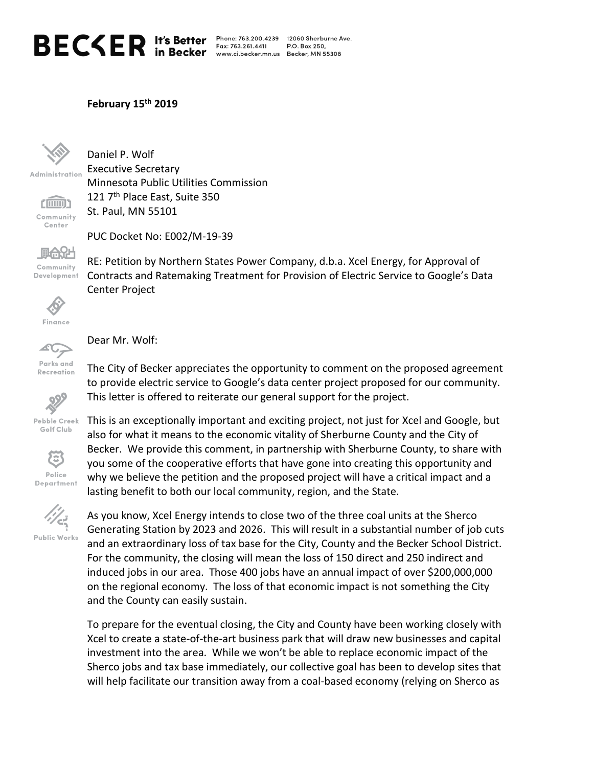## $\mathsf{BEC}\leq \mathsf{ER}$  It's Better

Fax: 763.261.4411

Phone: 763.200.4239 12060 Sherburne Ave. P.O. Box 250. www.ci.becker.mn.us Becker, MN 55308

## **February 15th 2019**



Administration

(iiiiiiii) Community Center

Daniel P. Wolf Executive Secretary Minnesota Public Utilities Commission 121 7<sup>th</sup> Place East, Suite 350 St. Paul, MN 55101

PUC Docket No: E002/M-19-39



RE: Petition by Northern States Power Company, d.b.a. Xcel Energy, for Approval of Contracts and Ratemaking Treatment for Provision of Electric Service to Google's Data Center Project



Finance



Dear Mr. Wolf:

 $329$ 

The City of Becker appreciates the opportunity to comment on the proposed agreement to provide electric service to Google's data center project proposed for our community. This letter is offered to reiterate our general support for the project.

Pebble Creek Golf Club



This is an exceptionally important and exciting project, not just for Xcel and Google, but also for what it means to the economic vitality of Sherburne County and the City of Becker. We provide this comment, in partnership with Sherburne County, to share with you some of the cooperative efforts that have gone into creating this opportunity and why we believe the petition and the proposed project will have a critical impact and a lasting benefit to both our local community, region, and the State.



As you know, Xcel Energy intends to close two of the three coal units at the Sherco Generating Station by 2023 and 2026. This will result in a substantial number of job cuts and an extraordinary loss of tax base for the City, County and the Becker School District. For the community, the closing will mean the loss of 150 direct and 250 indirect and induced jobs in our area. Those 400 jobs have an annual impact of over \$200,000,000 on the regional economy. The loss of that economic impact is not something the City and the County can easily sustain.

To prepare for the eventual closing, the City and County have been working closely with Xcel to create a state-of-the-art business park that will draw new businesses and capital investment into the area. While we won't be able to replace economic impact of the Sherco jobs and tax base immediately, our collective goal has been to develop sites that will help facilitate our transition away from a coal-based economy (relying on Sherco as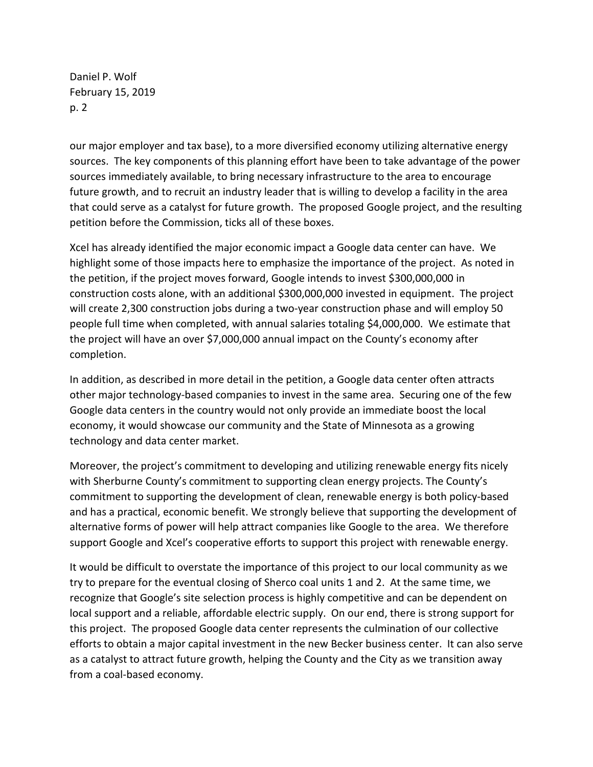Daniel P. Wolf February 15, 2019 p. 2

our major employer and tax base), to a more diversified economy utilizing alternative energy sources. The key components of this planning effort have been to take advantage of the power sources immediately available, to bring necessary infrastructure to the area to encourage future growth, and to recruit an industry leader that is willing to develop a facility in the area that could serve as a catalyst for future growth. The proposed Google project, and the resulting petition before the Commission, ticks all of these boxes.

Xcel has already identified the major economic impact a Google data center can have. We highlight some of those impacts here to emphasize the importance of the project. As noted in the petition, if the project moves forward, Google intends to invest \$300,000,000 in construction costs alone, with an additional \$300,000,000 invested in equipment. The project will create 2,300 construction jobs during a two-year construction phase and will employ 50 people full time when completed, with annual salaries totaling \$4,000,000. We estimate that the project will have an over \$7,000,000 annual impact on the County's economy after completion.

In addition, as described in more detail in the petition, a Google data center often attracts other major technology-based companies to invest in the same area. Securing one of the few Google data centers in the country would not only provide an immediate boost the local economy, it would showcase our community and the State of Minnesota as a growing technology and data center market.

Moreover, the project's commitment to developing and utilizing renewable energy fits nicely with Sherburne County's commitment to supporting clean energy projects. The County's commitment to supporting the development of clean, renewable energy is both policy-based and has a practical, economic benefit. We strongly believe that supporting the development of alternative forms of power will help attract companies like Google to the area. We therefore support Google and Xcel's cooperative efforts to support this project with renewable energy.

It would be difficult to overstate the importance of this project to our local community as we try to prepare for the eventual closing of Sherco coal units 1 and 2. At the same time, we recognize that Google's site selection process is highly competitive and can be dependent on local support and a reliable, affordable electric supply. On our end, there is strong support for this project. The proposed Google data center represents the culmination of our collective efforts to obtain a major capital investment in the new Becker business center. It can also serve as a catalyst to attract future growth, helping the County and the City as we transition away from a coal-based economy.